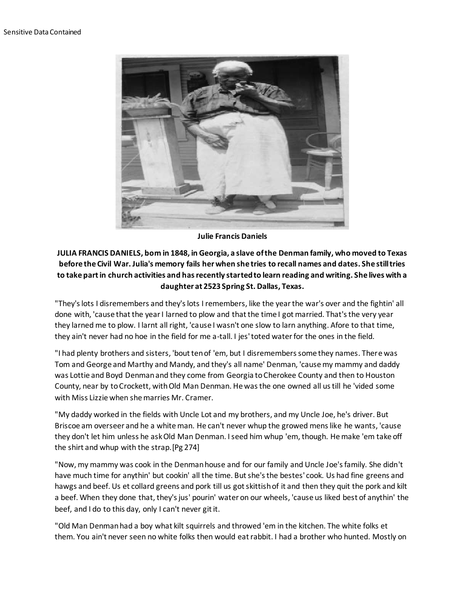

**Julie Francis Daniels**

## **JULIA FRANCIS DANIELS, born in 1848, in Georgia, a slave of the Denman family, who moved to Texas before the Civil War. Julia's memory fails her when she tries to recall names and dates. She still tries to take part in church activities and has recently started to learn reading and writing. She lives with a daughter at 2523 Spring St. Dallas, Texas.**

"They's lots I disremembers and they's lots I remembers, like the year the war's over and the fightin' all done with, 'cause that the year I larned to plow and that the time I got married. That's the very year they larned me to plow. I larnt all right, 'cause I wasn't one slow to larn anything. Afore to that time, they ain't never had no hoe in the field for me a-tall. I jes' toted water for the ones in the field.

"I had plenty brothers and sisters, 'bout ten of 'em, but I disremembers some they names. There was Tom and George and Marthy and Mandy, and they's all name' Denman, 'cause my mammy and daddy was Lottie and Boyd Denman and they come from Georgia to Cherokee County and then to Houston County, near by to Crockett, with Old Man Denman. He was the one owned all us till he 'vided some with Miss Lizzie when she marries Mr. Cramer.

"My daddy worked in the fields with Uncle Lot and my brothers, and my Uncle Joe, he's driver. But Briscoe am overseer and he a white man. He can't never whup the growed mens like he wants, 'cause they don't let him unless he ask Old Man Denman. I seed him whup 'em, though. He make 'em take off the shirt and whup with the strap.[Pg 274]

"Now, my mammy was cook in the Denman house and for our family and Uncle Joe's family. She didn't have much time for anythin' but cookin' all the time. But she's the bestes' cook. Us had fine greens and hawgs and beef. Us et collard greens and pork till us got skittish of it and then they quit the pork and kilt a beef. When they done that, they's jus' pourin' water on our wheels, 'cause us liked best of anythin' the beef, and I do to this day, only I can't never git it.

"Old Man Denman had a boy what kilt squirrels and throwed 'em in the kitchen. The white folks et them. You ain't never seen no white folks then would eat rabbit. I had a brother who hunted. Mostly on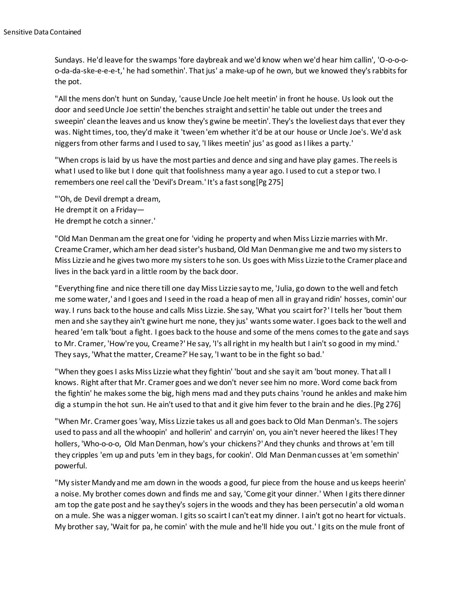Sundays. He'd leave for the swamps 'fore daybreak and we'd know when we'd hear him callin', 'O-o-o-oo-da-da-ske-e-e-e-t,' he had somethin'. That jus' a make-up of he own, but we knowed they's rabbits for the pot.

"All the mens don't hunt on Sunday, 'cause Uncle Joe helt meetin' in front he house. Us look out the door and seed Uncle Joe settin' the benches straight and settin' he table out under the trees and sweepin' clean the leaves and us know they's gwine be meetin'. They's the loveliest days that ever they was. Night times, too, they'd make it 'tween 'em whether it'd be at our house or Uncle Joe's. We'd ask niggers from other farms and I used to say, 'I likes meetin' jus' as good as I likes a party.'

"When crops is laid by us have the most parties and dence and sing and have play games. The reels is what I used to like but I done quit that foolishness many a year ago. I used to cut a step or two. I remembers one reel call the 'Devil's Dream.' It's a fast song[Pg 275]

"'Oh, de Devil drempt a dream, He drempt it on a Friday— He drempt he cotch a sinner.'

"Old Man Denman am the great one for 'viding he property and when Miss Lizzie marries with Mr. Creame Cramer, which am her dead sister's husband, Old Man Denman give me and two my sisters to Miss Lizzie and he gives two more my sisters to he son. Us goes with Miss Lizzie to the Cramer place and lives in the back yard in a little room by the back door.

"Everything fine and nice there till one day Miss Lizzie say to me, 'Julia, go down to the well and fetch me some water,' and I goes and I seed in the road a heap of men all in gray and ridin' hosses, comin' our way. I runs back to the house and calls Miss Lizzie. She say, 'What you scairt for?' I tells her 'bout them men and she say they ain't gwine hurt me none, they jus' wants some water. I goes back to the well and heared 'em talk 'bout a fight. I goes back to the house and some of the mens comes to the gate and says to Mr. Cramer, 'How're you, Creame?' He say, 'I's all right in my health but I ain't so good in my mind.' They says, 'What the matter, Creame?' He say, 'I want to be in the fight so bad.'

"When they goes I asks Miss Lizzie what they fightin' 'bout and she say it am 'bout money. That all I knows. Right after that Mr. Cramer goes and we don't never see him no more. Word come back from the fightin' he makes some the big, high mens mad and they puts chains 'round he ankles and make him dig a stump in the hot sun. He ain't used to that and it give him fever to the brain and he dies.[Pg 276]

"When Mr. Cramer goes 'way, Miss Lizzie takes us all and goes back to Old Man Denman's. The sojers used to pass and all the whoopin' and hollerin' and carryin' on, you ain't never heered the likes! They hollers, 'Who-o-o-o, Old Man Denman, how's your chickens?' And they chunks and throws at 'em till they cripples 'em up and puts 'em in they bags, for cookin'. Old Man Denman cusses at 'em somethin' powerful.

"My sister Mandy and me am down in the woods a good, fur piece from the house and us keeps heerin' a noise. My brother comes down and finds me and say, 'Come git your dinner.' When I gits there dinner am top the gate post and he say they's sojers in the woods and they has been persecutin' a old woman on a mule. She was a nigger woman. I gits so scairt I can't eat my dinner. I ain't got no heart for victuals. My brother say, 'Wait for pa, he comin' with the mule and he'll hide you out.' I gits on the mule front of